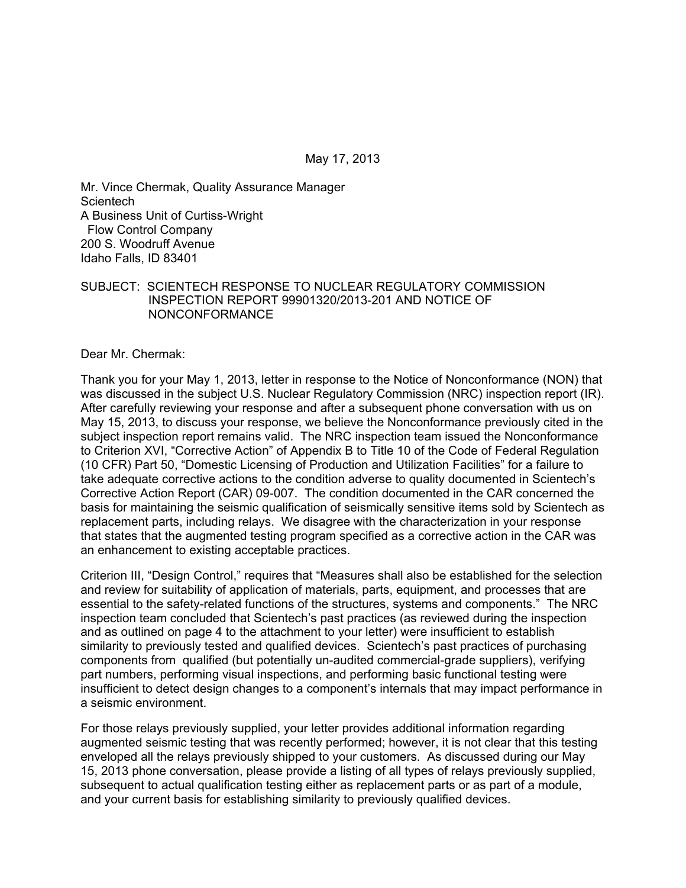Mr. Vince Chermak, Quality Assurance Manager **Scientech** A Business Unit of Curtiss-Wright Flow Control Company 200 S. Woodruff Avenue Idaho Falls, ID 83401

## SUBJECT: SCIENTECH RESPONSE TO NUCLEAR REGULATORY COMMISSION INSPECTION REPORT 99901320/2013-201 AND NOTICE OF NONCONFORMANCE

Dear Mr. Chermak:

Thank you for your May 1, 2013, letter in response to the Notice of Nonconformance (NON) that was discussed in the subject U.S. Nuclear Regulatory Commission (NRC) inspection report (IR). After carefully reviewing your response and after a subsequent phone conversation with us on May 15, 2013, to discuss your response, we believe the Nonconformance previously cited in the subject inspection report remains valid. The NRC inspection team issued the Nonconformance to Criterion XVI, "Corrective Action" of Appendix B to Title 10 of the Code of Federal Regulation (10 CFR) Part 50, "Domestic Licensing of Production and Utilization Facilities" for a failure to take adequate corrective actions to the condition adverse to quality documented in Scientech's Corrective Action Report (CAR) 09-007. The condition documented in the CAR concerned the basis for maintaining the seismic qualification of seismically sensitive items sold by Scientech as replacement parts, including relays. We disagree with the characterization in your response that states that the augmented testing program specified as a corrective action in the CAR was an enhancement to existing acceptable practices.

Criterion III, "Design Control," requires that "Measures shall also be established for the selection and review for suitability of application of materials, parts, equipment, and processes that are essential to the safety-related functions of the structures, systems and components." The NRC inspection team concluded that Scientech's past practices (as reviewed during the inspection and as outlined on page 4 to the attachment to your letter) were insufficient to establish similarity to previously tested and qualified devices. Scientech's past practices of purchasing components from qualified (but potentially un-audited commercial-grade suppliers), verifying part numbers, performing visual inspections, and performing basic functional testing were insufficient to detect design changes to a component's internals that may impact performance in a seismic environment.

For those relays previously supplied, your letter provides additional information regarding augmented seismic testing that was recently performed; however, it is not clear that this testing enveloped all the relays previously shipped to your customers. As discussed during our May 15, 2013 phone conversation, please provide a listing of all types of relays previously supplied, subsequent to actual qualification testing either as replacement parts or as part of a module, and your current basis for establishing similarity to previously qualified devices.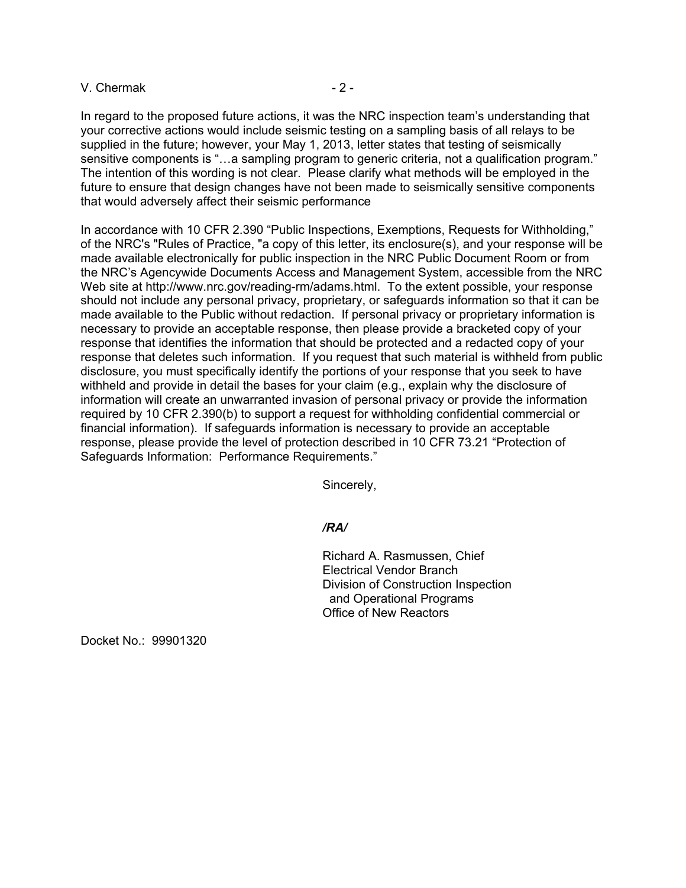## $V.$  Chermak  $-2$  -

In regard to the proposed future actions, it was the NRC inspection team's understanding that your corrective actions would include seismic testing on a sampling basis of all relays to be supplied in the future; however, your May 1, 2013, letter states that testing of seismically sensitive components is "…a sampling program to generic criteria, not a qualification program." The intention of this wording is not clear. Please clarify what methods will be employed in the future to ensure that design changes have not been made to seismically sensitive components that would adversely affect their seismic performance

In accordance with 10 CFR 2.390 "Public Inspections, Exemptions, Requests for Withholding," of the NRC's "Rules of Practice, "a copy of this letter, its enclosure(s), and your response will be made available electronically for public inspection in the NRC Public Document Room or from the NRC's Agencywide Documents Access and Management System, accessible from the NRC Web site at http://www.nrc.gov/reading-rm/adams.html. To the extent possible, your response should not include any personal privacy, proprietary, or safeguards information so that it can be made available to the Public without redaction. If personal privacy or proprietary information is necessary to provide an acceptable response, then please provide a bracketed copy of your response that identifies the information that should be protected and a redacted copy of your response that deletes such information. If you request that such material is withheld from public disclosure, you must specifically identify the portions of your response that you seek to have withheld and provide in detail the bases for your claim (e.g., explain why the disclosure of information will create an unwarranted invasion of personal privacy or provide the information required by 10 CFR 2.390(b) to support a request for withholding confidential commercial or financial information). If safeguards information is necessary to provide an acceptable response, please provide the level of protection described in 10 CFR 73.21 "Protection of Safeguards Information: Performance Requirements."

Sincerely,

# */RA/*

Richard A. Rasmussen, Chief Electrical Vendor Branch Division of Construction Inspection and Operational Programs Office of New Reactors

Docket No.: 99901320